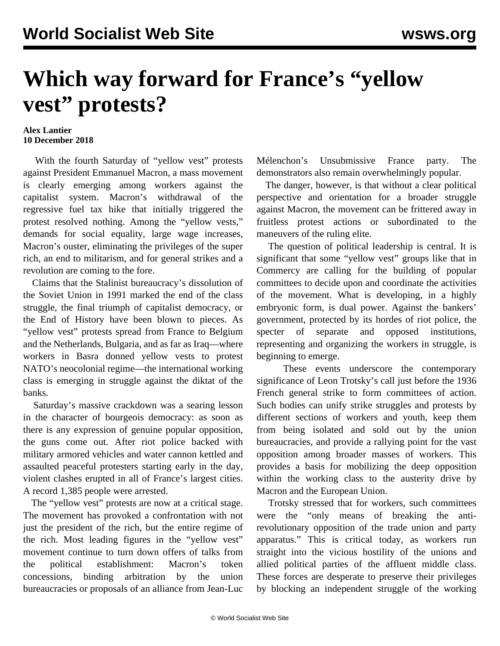## **Which way forward for France's "yellow vest" protests?**

## **Alex Lantier 10 December 2018**

 With the fourth Saturday of "yellow vest" protests against President Emmanuel Macron, a mass movement is clearly emerging among workers against the capitalist system. Macron's withdrawal of the regressive fuel tax hike that initially triggered the protest resolved nothing. Among the "yellow vests," demands for social equality, large wage increases, Macron's ouster, eliminating the privileges of the super rich, an end to militarism, and for general strikes and a revolution are coming to the fore.

 Claims that the Stalinist bureaucracy's dissolution of the Soviet Union in 1991 marked the end of the class struggle, the final triumph of capitalist democracy, or the End of History have been blown to pieces. As "yellow vest" protests spread from France to Belgium and the Netherlands, Bulgaria, and as far as Iraq—where workers in Basra donned yellow vests to protest NATO's neocolonial regime—the international working class is emerging in struggle against the diktat of the banks.

 Saturday's massive crackdown was a searing lesson in the character of bourgeois democracy: as soon as there is any expression of genuine popular opposition, the guns come out. After riot police backed with military armored vehicles and water cannon kettled and assaulted peaceful protesters starting early in the day, violent clashes erupted in all of France's largest cities. A record 1,385 people were arrested.

 The "yellow vest" protests are now at a critical stage. The movement has provoked a confrontation with not just the president of the rich, but the entire regime of the rich. Most leading figures in the "yellow vest" movement continue to turn down offers of talks from the political establishment: Macron's token concessions, binding arbitration by the union bureaucracies or proposals of an alliance from Jean-Luc

Mélenchon's Unsubmissive France party. The demonstrators also remain overwhelmingly popular.

 The danger, however, is that without a clear political perspective and orientation for a broader struggle against Macron, the movement can be frittered away in fruitless protest actions or subordinated to the maneuvers of the ruling elite.

 The question of political leadership is central. It is significant that some "yellow vest" groups like that in Commercy are calling for the building of popular committees to decide upon and coordinate the activities of the movement. What is developing, in a highly embryonic form, is dual power. Against the bankers' government, protected by its hordes of riot police, the specter of separate and opposed institutions, representing and organizing the workers in struggle, is beginning to emerge.

 These events underscore the contemporary significance of Leon Trotsky's call just before the 1936 French general strike to form committees of action. Such bodies can unify strike struggles and protests by different sections of workers and youth, keep them from being isolated and sold out by the union bureaucracies, and provide a rallying point for the vast opposition among broader masses of workers. This provides a basis for mobilizing the deep opposition within the working class to the austerity drive by Macron and the European Union.

 Trotsky stressed that for workers, such committees were the "only means of breaking the antirevolutionary opposition of the trade union and party apparatus." This is critical today, as workers run straight into the vicious hostility of the unions and allied political parties of the affluent middle class. These forces are desperate to preserve their privileges by blocking an independent struggle of the working